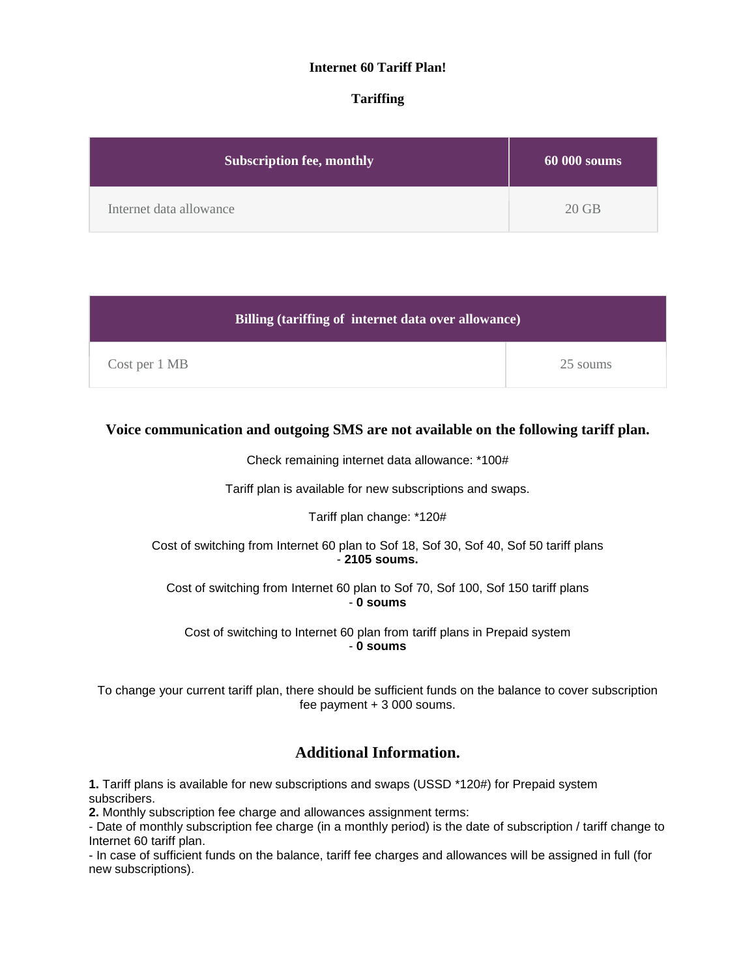## **Internet 60 Tariff Plan!**

## **Tariffing**

| <b>Subscription fee, monthly</b> | $60000$ soums |
|----------------------------------|---------------|
| Internet data allowance          | $20$ GB       |

| Billing (tariffing of internet data over allowance) |  |          |
|-----------------------------------------------------|--|----------|
| Cost per 1 MB                                       |  | 25 soums |

## **Voice communication and outgoing SMS are not available on the following tariff plan.**

Check remaining internet data allowance: \*100#

Tariff plan is available for new subscriptions and swaps.

### Tariff plan change: \*120#

Cost of switching from Internet 60 plan to Sof 18, Sof 30, Sof 40, Sof 50 tariff plans - **2105 soums.**

Cost of switching from Internet 60 plan to Sof 70, Sof 100, Sof 150 tariff plans - **0 soums**

Cost of switching to Internet 60 plan from tariff plans in Prepaid system - **0 soums**

To change your current tariff plan, there should be sufficient funds on the balance to cover subscription fee payment + 3 000 soums.

# **Additional Information.**

**1.** Tariff plans is available for new subscriptions and swaps (USSD \*120#) for Prepaid system subscribers.

**2.** Monthly subscription fee charge and allowances assignment terms:

- Date of monthly subscription fee charge (in a monthly period) is the date of subscription / tariff change to Internet 60 tariff plan.

- In case of sufficient funds on the balance, tariff fee charges and allowances will be assigned in full (for new subscriptions).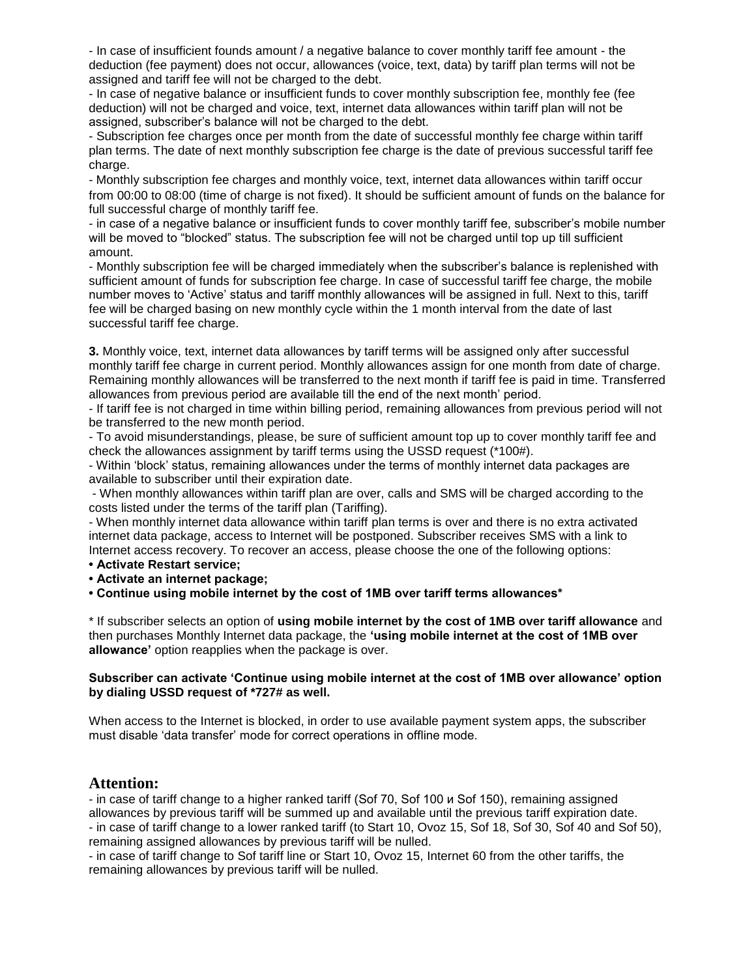- In case of insufficient founds amount / a negative balance to cover monthly tariff fee amount - the deduction (fee payment) does not occur, allowances (voice, text, data) by tariff plan terms will not be assigned and tariff fee will not be charged to the debt.

- In case of negative balance or insufficient funds to cover monthly subscription fee, monthly fee (fee deduction) will not be charged and voice, text, internet data allowances within tariff plan will not be assigned, subscriber's balance will not be charged to the debt.

- Subscription fee charges once per month from the date of successful monthly fee charge within tariff plan terms. The date of next monthly subscription fee charge is the date of previous successful tariff fee charge.

- Monthly subscription fee charges and monthly voice, text, internet data allowances within tariff occur from 00:00 to 08:00 (time of charge is not fixed). It should be sufficient amount of funds on the balance for full successful charge of monthly tariff fee.

- in case of a negative balance or insufficient funds to cover monthly tariff fee, subscriber's mobile number will be moved to "blocked" status. The subscription fee will not be charged until top up till sufficient amount.

- Monthly subscription fee will be charged immediately when the subscriber's balance is replenished with sufficient amount of funds for subscription fee charge. In case of successful tariff fee charge, the mobile number moves to 'Active' status and tariff monthly allowances will be assigned in full. Next to this, tariff fee will be charged basing on new monthly cycle within the 1 month interval from the date of last successful tariff fee charge.

**3.** Monthly voice, text, internet data allowances by tariff terms will be assigned only after successful monthly tariff fee charge in current period. Monthly allowances assign for one month from date of charge. Remaining monthly allowances will be transferred to the next month if tariff fee is paid in time. Transferred allowances from previous period are available till the end of the next month' period.

- If tariff fee is not charged in time within billing period, remaining allowances from previous period will not be transferred to the new month period.

- To avoid misunderstandings, please, be sure of sufficient amount top up to cover monthly tariff fee and check the allowances assignment by tariff terms using the USSD request (\*100#).

- Within 'block' status, remaining allowances under the terms of monthly internet data packages are available to subscriber until their expiration date.

- When monthly allowances within tariff plan are over, calls and SMS will be charged according to the costs listed under the terms of the tariff plan (Tariffing).

- When monthly internet data allowance within tariff plan terms is over and there is no extra activated internet data package, access to Internet will be postponed. Subscriber receives SMS with a link to Internet access recovery. To recover an access, please choose the one of the following options:

**• Activate Restart service;**

**• Activate an internet package;**

**• Continue using mobile internet by the cost of 1MB over tariff terms allowances\***

\* If subscriber selects an option of **using mobile internet by the cost of 1MB over tariff allowance** and then purchases Monthly Internet data package, the **'using mobile internet at the cost of 1MB over allowance'** option reapplies when the package is over.

### **Subscriber can activate 'Continue using mobile internet at the cost of 1MB over allowance' option by dialing USSD request of \*727# as well.**

When access to the Internet is blocked, in order to use available payment system apps, the subscriber must disable 'data transfer' mode for correct operations in offline mode.

## **Attention:**

- in case of tariff change to a higher ranked tariff (Sof 70, Sof 100 и Sof 150), remaining assigned allowances by previous tariff will be summed up and available until the previous tariff expiration date. - in case of tariff change to a lower ranked tariff (to Start 10, Ovoz 15, Sof 18, Sof 30, Sof 40 and Sof 50), remaining assigned allowances by previous tariff will be nulled.

- in case of tariff change to Sof tariff line or Start 10, Ovoz 15, Internet 60 from the other tariffs, the remaining allowances by previous tariff will be nulled.